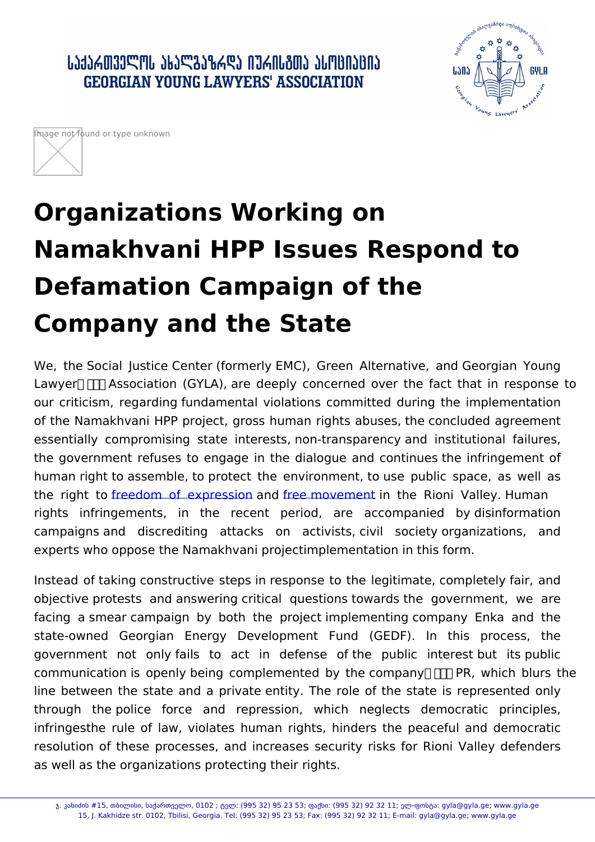## Organizations Working on Namakhvani HPP Issues Respond Defamation Campaign of the Company and the State

We, the Social Justice Center (formerly EMC), Green Alternative, Lawyer s Association (GYLA), are deeply concerned over the fac our criticism, regarding fundamental violations committed during of the Namakhvani HPP project, gross human rights abuses, the c essentially compromising state interests, non-transparency and the government refuses to engage in the dialogue and continues human right to assemble, to protect the environment, to use publi the rightfreedom of exprassdireme movement the Rioni Valley. Hum rights infringements, in the recent period, accompa are campaigns and discrediting attacks activists, civil  $o<sub>n</sub>$ soci experts who oppose the Namakhvani projectimplementation in this f

Instead of taking constructive steps in response to the legitimate, objective protests and answering critical questions towards the facing a smear campaign by both the project implementing comp Georgian Energy Development Fund  $(GEDF)$ . state-owned government not only fails to act in defense of the public communication is openly being complemented by the company s F line between the state and a private entity. The role of the stat and repression, which through the police force neglects infringesthe rule of law, violates human rights, hinders the pea resolution of these processes, and increases security risks for as well as the organizations protecting their rights.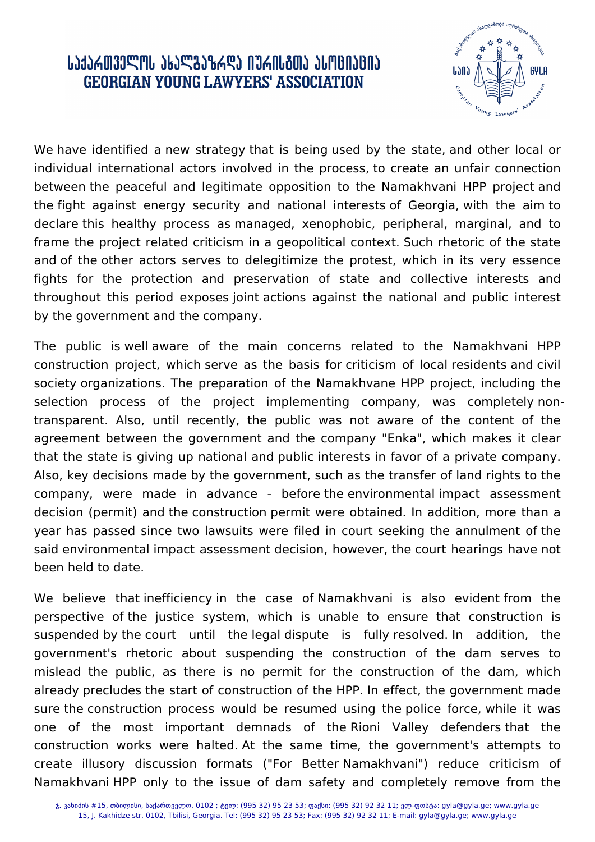## ᲡᲐᲥᲐᲠᲗᲕᲔᲚᲝᲡ ᲐᲮᲐᲚᲒᲐᲖᲠᲓᲐ ᲘᲣᲠᲘᲡᲒᲗᲐ ᲐᲡᲝᲪᲘᲐᲪᲘᲐ **GEORGIAN YOUNG LAWYERS' ASSOCIATION**



We have identified a new strategy that is being used by the state, and other local or individual international actors involved in the process, to create an unfair connection between the peaceful and legitimate opposition to the Namakhvani HPP project and the fight against energy security and national interests of Georgia, with the aim to declare this healthy process as managed, xenophobic, peripheral, marginal, and to frame the project related criticism in a geopolitical context. Such rhetoric of the state and of the other actors serves to delegitimize the protest, which in its very essence fights for the protection and preservation of state and collective interests and throughout this period exposes joint actions against the national and public interest by the government and the company.

The public is well aware of the main concerns related to the Namakhvani HPP construction project, which serve as the basis for criticism of local residents and civil society organizations. The preparation of the Namakhvane HPP project, including the selection process of the project implementing company, was completely nontransparent. Also, until recently, the public was not aware of the content of the agreement between the government and the company "Enka", which makes it clear that the state is giving up national and public interests in favor of a private company. Also, key decisions made by the government, such as the transfer of land rights to the company, were made in advance - before the environmental impact assessment decision (permit) and the construction permit were obtained. In addition, more than a year has passed since two lawsuits were filed in court seeking the annulment of the said environmental impact assessment decision, however, the court hearings have not been held to date.

We believe that inefficiency in the case of Namakhvani is also evident from the perspective of the justice system, which is unable to ensure that construction is suspended by the court until the legal dispute is fully resolved. In addition, the government's rhetoric about suspending the construction of the dam serves to mislead the public, as there is no permit for the construction of the dam, which already precludes the start of construction of the HPP. In effect, the government made sure the construction process would be resumed using the police force, while it was one of the most important demnads of the Rioni Valley defenders that the construction works were halted. At the same time, the government's attempts to create illusory discussion formats ("For Better Namakhvani") reduce criticism of Namakhvani HPP only to the issue of dam safety and completely remove from the